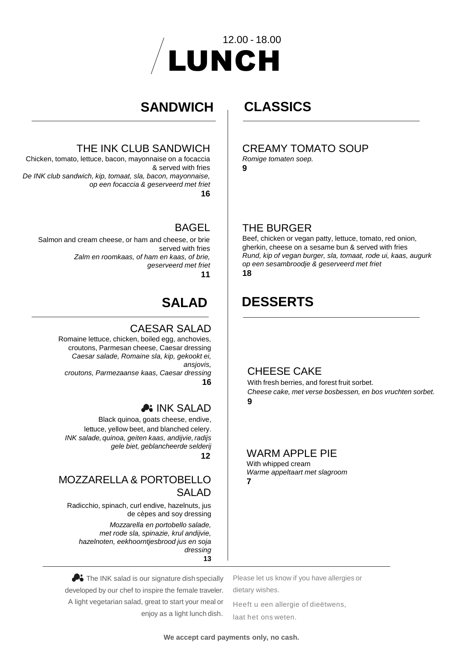

## **SANDWICH**

#### THE INK CLUB SANDWICH

Chicken, tomato, lettuce, bacon, mayonnaise on a focaccia & served with fries *De INK club sandwich, kip, tomaat, sla, bacon, mayonnaise, op een focaccia & geserveerd met friet* **16**

#### BAGEL

Salmon and cream cheese, or ham and cheese, or brie served with fries *Zalm en roomkaas, of ham en kaas, of brie, geserveerd met friet* **11**

# **SALAD**

#### CAESAR SALAD

Romaine lettuce, chicken, boiled egg, anchovies, croutons, Parmesan cheese, Caesar dressing *Caesar salade, Romaine sla, kip, gekookt ei, ansjovis, croutons, Parmezaanse kaas, Caesar dressing* **16**

# **A: INK SALAD**

Black quinoa, goats cheese, endive, lettuce, yellow beet, and blanched celery. *INK salade, quinoa, geiten kaas, andijvie,radijs gele biet, geblancheerde selderij* **12**

#### MOZZARELLA & PORTOBELLO SALAD

Radicchio, spinach, curl endive, hazelnuts, jus de cèpes and soy dressing

*Mozzarella en portobello salade, met rode sla, spinazie, krul andijvie, hazelnoten, eekhoorntjesbrood jus en soja dressing* **13**

# **CLASSICS**

#### CREAMY TOMATO SOUP

*Romige tomaten soep.*

**9**

#### THE BURGER

Beef, chicken or vegan patty, lettuce, tomato, red onion, gherkin, cheese on a sesame bun & served with fries *Rund, kip of vegan burger, sla, tomaat, rode ui, kaas, augurk op een sesambroodje & geserveerd met friet* **18**

# **DESSERTS**

#### CHEESE CAKE

With fresh berries, and forest fruit sorbet. *Cheese cake, met verse bosbessen, en bos vruchten sorbet.* **9**

#### WARM APPLE PIE

With whipped cream *Warme appeltaart met slagroom* **7**

The INK salad is our signature dish specially developed by our chef to inspire the female traveler. A light vegetarian salad, great to start your meal or enjoy as a light lunch dish.

Please let us know if you have allergies or dietary wishes.

Heeft u een allergie of dieëtwens, laat het ons weten.